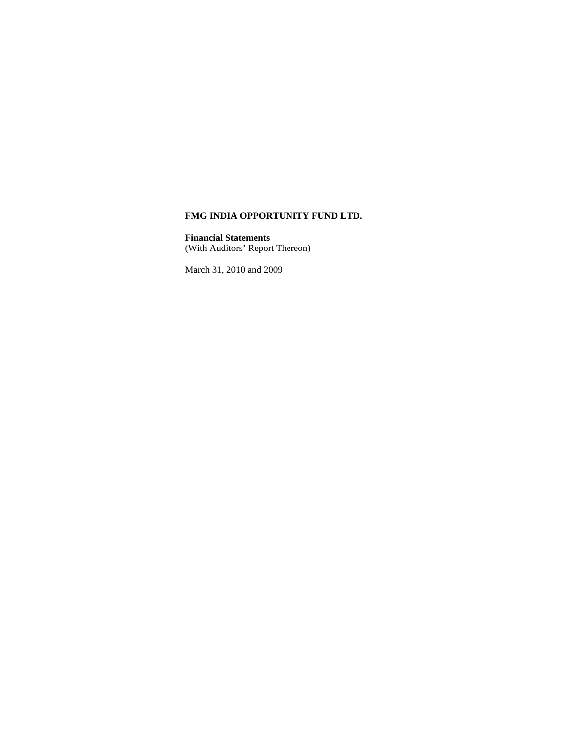**Financial Statements** (With Auditors' Report Thereon)

March 31, 2010 and 2009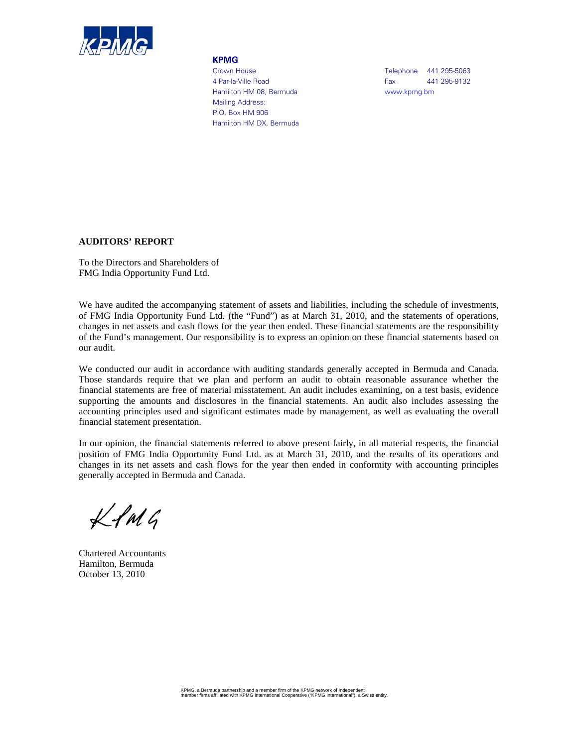

#### **KPMG**

4 Par-la-Ville Road **Fax** 441 295-9132 Hamilton HM 08, Bermuda www.kpmg.bm Mailing Address: P.O. Box HM 906 Hamilton HM DX, Bermuda

Crown House **Telephone** 441 295-5063

## **AUDITORS' REPORT**

To the Directors and Shareholders of FMG India Opportunity Fund Ltd.

We have audited the accompanying statement of assets and liabilities, including the schedule of investments, of FMG India Opportunity Fund Ltd. (the "Fund") as at March 31, 2010, and the statements of operations, changes in net assets and cash flows for the year then ended. These financial statements are the responsibility of the Fund's management. Our responsibility is to express an opinion on these financial statements based on our audit.

We conducted our audit in accordance with auditing standards generally accepted in Bermuda and Canada. Those standards require that we plan and perform an audit to obtain reasonable assurance whether the financial statements are free of material misstatement. An audit includes examining, on a test basis, evidence supporting the amounts and disclosures in the financial statements. An audit also includes assessing the accounting principles used and significant estimates made by management, as well as evaluating the overall financial statement presentation.

In our opinion, the financial statements referred to above present fairly, in all material respects, the financial position of FMG India Opportunity Fund Ltd. as at March 31, 2010, and the results of its operations and changes in its net assets and cash flows for the year then ended in conformity with accounting principles generally accepted in Bermuda and Canada.

 $Lf$ M $G$ 

Chartered Accountants Hamilton, Bermuda October 13, 2010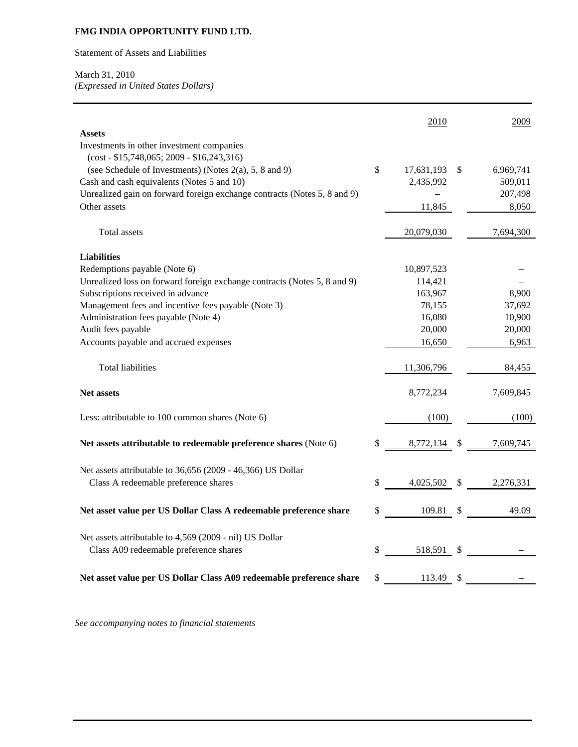Statement of Assets and Liabilities

# March 31, 2010

*(Expressed in United States Dollars)*

|                                                                          | 2010               |   | 2009      |
|--------------------------------------------------------------------------|--------------------|---|-----------|
| <b>Assets</b>                                                            |                    |   |           |
| Investments in other investment companies                                |                    |   |           |
| $(cost - $15,748,065; 2009 - $16,243,316)$                               |                    |   |           |
| (see Schedule of Investments) (Notes 2(a), 5, 8 and 9)                   | \$<br>17,631,193   | S | 6,969,741 |
| Cash and cash equivalents (Notes 5 and 10)                               | 2,435,992          |   | 509,011   |
| Unrealized gain on forward foreign exchange contracts (Notes 5, 8 and 9) |                    |   | 207,498   |
| Other assets                                                             | 11,845             |   | 8,050     |
|                                                                          |                    |   |           |
| Total assets                                                             | 20,079,030         |   | 7,694,300 |
|                                                                          |                    |   |           |
| <b>Liabilities</b>                                                       |                    |   |           |
| Redemptions payable (Note 6)                                             | 10,897,523         |   |           |
| Unrealized loss on forward foreign exchange contracts (Notes 5, 8 and 9) | 114,421            |   |           |
| Subscriptions received in advance                                        | 163,967            |   | 8,900     |
| Management fees and incentive fees payable (Note 3)                      | 78,155             |   | 37,692    |
| Administration fees payable (Note 4)                                     | 16,080             |   | 10,900    |
| Audit fees payable                                                       | 20,000             |   | 20,000    |
| Accounts payable and accrued expenses                                    | 16,650             |   | 6,963     |
|                                                                          |                    |   |           |
| <b>Total liabilities</b>                                                 | 11,306,796         |   | 84,455    |
| <b>Net assets</b>                                                        | 8,772,234          |   | 7,609,845 |
| Less: attributable to 100 common shares (Note 6)                         | (100)              |   | (100)     |
| Net assets attributable to redeemable preference shares (Note 6)         | \$<br>8,772,134 \$ |   | 7,609,745 |
|                                                                          |                    |   |           |
|                                                                          |                    |   |           |
| Net assets attributable to 36,656 (2009 - 46,366) US Dollar              |                    |   |           |
| Class A redeemable preference shares                                     | \$<br>4,025,502 \$ |   | 2,276,331 |
|                                                                          |                    |   |           |
| Net asset value per US Dollar Class A redeemable preference share        | \$<br>109.81 \$    |   | 49.09     |
|                                                                          |                    |   |           |
| Net assets attributable to 4,569 (2009 - nil) US Dollar                  |                    |   |           |
| Class A09 redeemable preference shares                                   | \$<br>518,591 \$   |   |           |
|                                                                          |                    |   |           |
| Net asset value per US Dollar Class A09 redeemable preference share      | \$<br>113.49 \$    |   |           |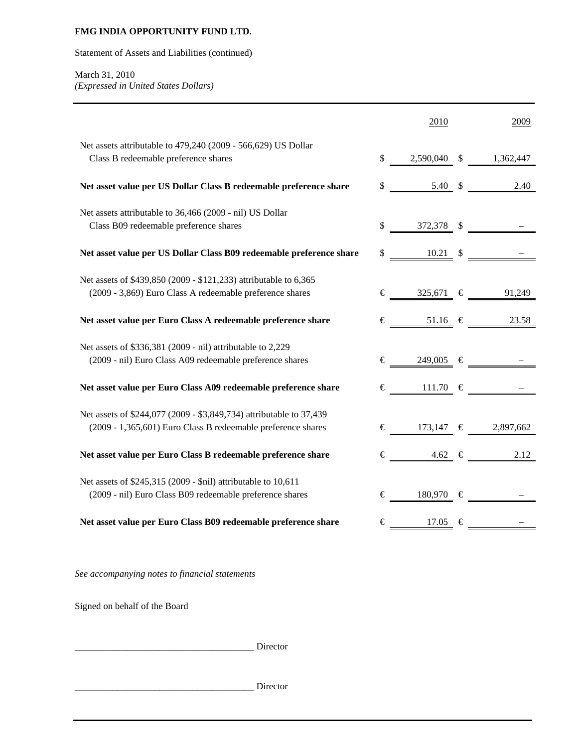Statement of Assets and Liabilities (continued)

# March 31, 2010 *(Expressed in United States Dollars)*

|                                                                     | 2010                          | 2009                                                                                  |
|---------------------------------------------------------------------|-------------------------------|---------------------------------------------------------------------------------------|
| Net assets attributable to 479,240 (2009 - 566,629) US Dollar       |                               |                                                                                       |
| Class B redeemable preference shares                                |                               | $$ \underline{\hspace{1.5cm} 2,590,040} \quad $ \underline{\hspace{1.5cm} 1,362,447}$ |
| Net asset value per US Dollar Class B redeemable preference share   |                               | $\frac{\$}{\$}$ 5.40 $\$$ 2.40                                                        |
| Net assets attributable to 36,466 (2009 - nil) US Dollar            |                               |                                                                                       |
| Class B09 redeemable preference shares                              |                               |                                                                                       |
| Net asset value per US Dollar Class B09 redeemable preference share |                               |                                                                                       |
| Net assets of \$439,850 (2009 - \$121,233) attributable to 6,365    |                               |                                                                                       |
| (2009 - 3,869) Euro Class A redeemable preference shares            |                               | $\epsilon$ 325,671 $\epsilon$ 91,249                                                  |
| Net asset value per Euro Class A redeemable preference share        |                               | $\epsilon$ 51.16 $\epsilon$ 23.58                                                     |
| Net assets of \$336,381 (2009 - nil) attributable to 2,229          |                               |                                                                                       |
| (2009 - nil) Euro Class A09 redeemable preference shares            | $\epsilon$ 249,005 $\epsilon$ |                                                                                       |
| Net asset value per Euro Class A09 redeemable preference share      | $\epsilon$ 111.70 $\epsilon$  |                                                                                       |
| Net assets of \$244,077 (2009 - \$3,849,734) attributable to 37,439 |                               |                                                                                       |
| (2009 - 1,365,601) Euro Class B redeemable preference shares        |                               | € 173,147 € 2,897,662                                                                 |
| Net asset value per Euro Class B redeemable preference share        |                               | $\epsilon$ 4.62 $\epsilon$ 2.12                                                       |
| Net assets of \$245,315 (2009 - \$nil) attributable to 10,611       |                               |                                                                                       |
| (2009 - nil) Euro Class B09 redeemable preference shares            | $\epsilon$ 180,970 $\epsilon$ |                                                                                       |
| Net asset value per Euro Class B09 redeemable preference share      | $\epsilon$ 17.05 $\epsilon$   |                                                                                       |
|                                                                     |                               |                                                                                       |

*See accompanying notes to financial statements* 

Signed on behalf of the Board

|  | Director |
|--|----------|
|  | Director |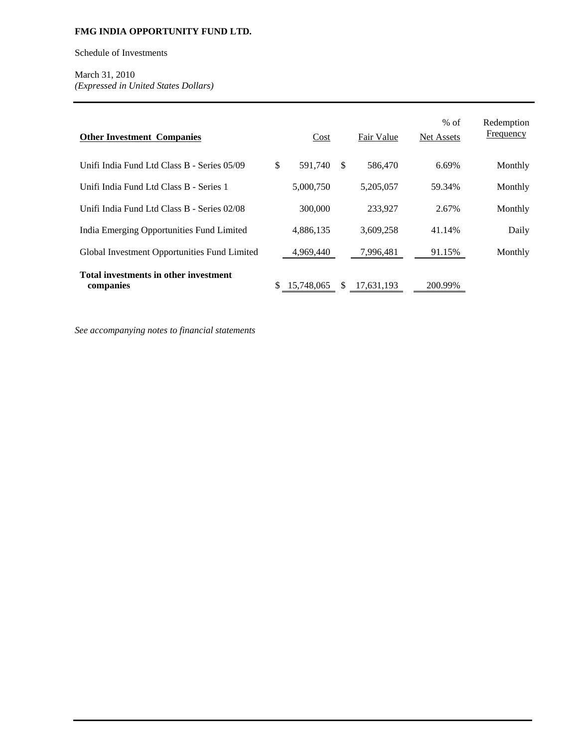Schedule of Investments

March 31, 2010 *(Expressed in United States Dollars)*

| <b>Other Investment Companies</b>                  |     | Cost       |               | Fair Value | $%$ of<br><b>Net Assets</b> | Redemption<br>Frequency |
|----------------------------------------------------|-----|------------|---------------|------------|-----------------------------|-------------------------|
| Unifi India Fund Ltd Class B - Series 05/09        | \$. | 591,740    | <sup>\$</sup> | 586,470    | 6.69%                       | Monthly                 |
| Unifi India Fund Ltd Class B - Series 1            |     | 5,000,750  |               | 5,205,057  | 59.34%                      | Monthly                 |
| Unifi India Fund Ltd Class B - Series 02/08        |     | 300,000    |               | 233,927    | 2.67%                       | Monthly                 |
| India Emerging Opportunities Fund Limited          |     | 4,886,135  |               | 3,609,258  | 41.14%                      | Daily                   |
| Global Investment Opportunities Fund Limited       |     | 4,969,440  |               | 7,996,481  | 91.15%                      | Monthly                 |
| Total investments in other investment<br>companies |     | 15,748,065 | -S            | 17,631,193 | 200.99%                     |                         |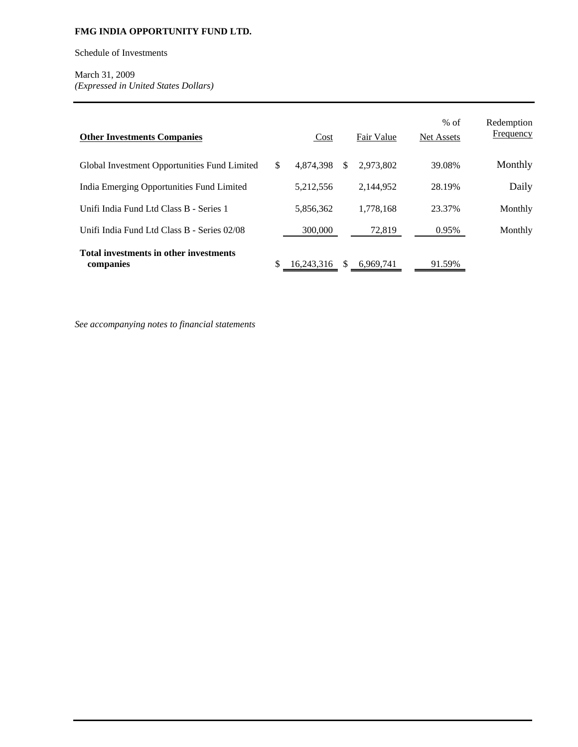Schedule of Investments

March 31, 2009 *(Expressed in United States Dollars)*

| <b>Other Investments Companies</b>                  | Cost            |     | Fair Value | $%$ of<br><b>Net Assets</b> | Redemption<br><b>Frequency</b> |
|-----------------------------------------------------|-----------------|-----|------------|-----------------------------|--------------------------------|
| Global Investment Opportunities Fund Limited        | \$<br>4.874.398 | \$. | 2.973.802  | 39.08%                      | Monthly                        |
| India Emerging Opportunities Fund Limited           | 5,212,556       |     | 2.144.952  | 28.19%                      | Daily                          |
| Unifi India Fund Ltd Class B - Series 1             | 5,856,362       |     | 1,778,168  | 23.37%                      | Monthly                        |
| Unifi India Fund Ltd Class B - Series 02/08         | 300,000         |     | 72,819     | 0.95%                       | Monthly                        |
| Total investments in other investments<br>companies | 16.243.316      | \$. | 6.969.741  | 91.59%                      |                                |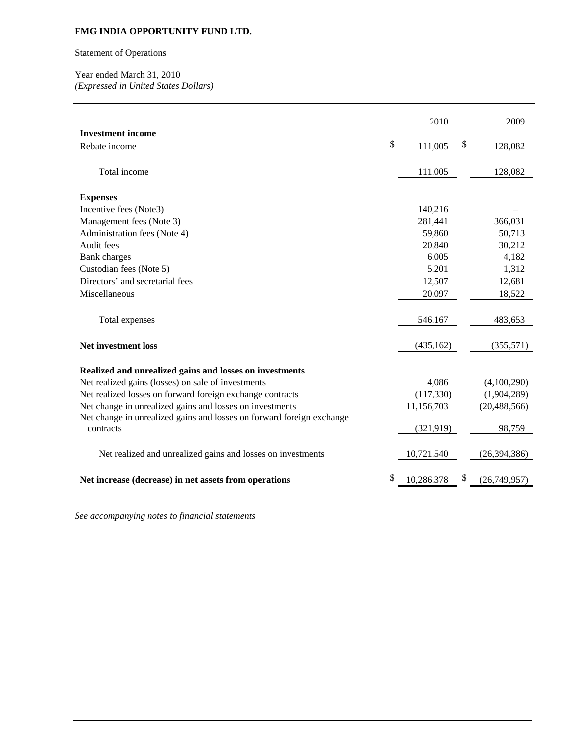# Statement of Operations

Year ended March 31, 2010 *(Expressed in United States Dollars)* 

|                                                                                    | 2010             | 2009               |
|------------------------------------------------------------------------------------|------------------|--------------------|
| <b>Investment income</b>                                                           |                  |                    |
| Rebate income                                                                      | \$<br>111,005    | \$<br>128,082      |
| Total income                                                                       | 111,005          | 128,082            |
| <b>Expenses</b>                                                                    |                  |                    |
| Incentive fees (Note3)                                                             | 140,216          |                    |
| Management fees (Note 3)                                                           | 281,441          | 366,031            |
| Administration fees (Note 4)                                                       | 59,860           | 50,713             |
| Audit fees                                                                         | 20,840           | 30,212             |
| <b>Bank</b> charges                                                                | 6,005            | 4,182              |
| Custodian fees (Note 5)                                                            | 5,201            | 1,312              |
| Directors' and secretarial fees                                                    | 12,507           | 12,681             |
| Miscellaneous                                                                      | 20,097           | 18,522             |
|                                                                                    |                  |                    |
| Total expenses                                                                     | 546,167          | 483,653            |
| <b>Net investment loss</b>                                                         | (435, 162)       | (355, 571)         |
| Realized and unrealized gains and losses on investments                            |                  |                    |
| Net realized gains (losses) on sale of investments                                 | 4,086            | (4,100,290)        |
| Net realized losses on forward foreign exchange contracts                          | (117, 330)       | (1,904,289)        |
| Net change in unrealized gains and losses on investments                           | 11,156,703       | (20, 488, 566)     |
| Net change in unrealized gains and losses on forward foreign exchange<br>contracts | (321, 919)       | 98,759             |
|                                                                                    |                  |                    |
| Net realized and unrealized gains and losses on investments                        | 10,721,540       | (26, 394, 386)     |
| Net increase (decrease) in net assets from operations                              | \$<br>10,286,378 | \$<br>(26,749,957) |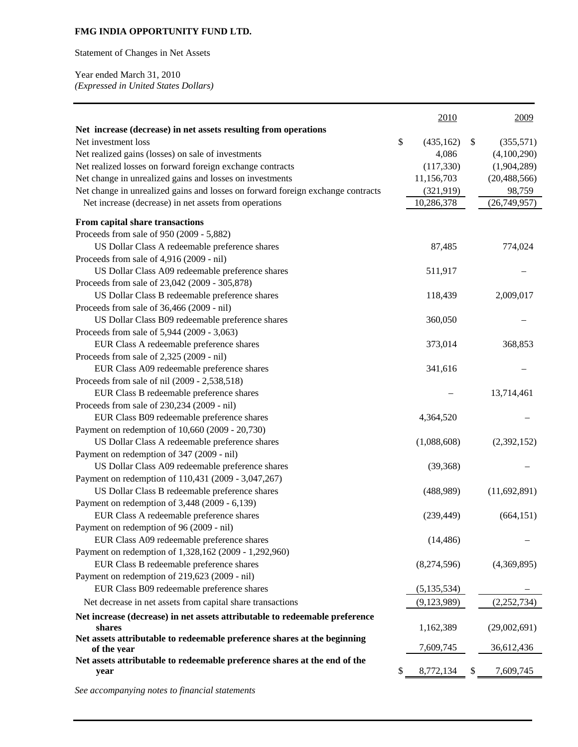Statement of Changes in Net Assets

Year ended March 31, 2010 *(Expressed in United States Dollars)* 

|                                                                                 | 2010             | 2009            |
|---------------------------------------------------------------------------------|------------------|-----------------|
| Net increase (decrease) in net assets resulting from operations                 |                  |                 |
| Net investment loss                                                             | \$<br>(435, 162) | \$<br>(355,571) |
| Net realized gains (losses) on sale of investments                              | 4,086            | (4,100,290)     |
| Net realized losses on forward foreign exchange contracts                       | (117,330)        | (1,904,289)     |
| Net change in unrealized gains and losses on investments                        | 11,156,703       | (20, 488, 566)  |
| Net change in unrealized gains and losses on forward foreign exchange contracts | (321, 919)       | 98,759          |
| Net increase (decrease) in net assets from operations                           | 10,286,378       | (26,749,957)    |
| From capital share transactions                                                 |                  |                 |
| Proceeds from sale of 950 (2009 - 5,882)                                        |                  |                 |
| US Dollar Class A redeemable preference shares                                  | 87,485           | 774,024         |
| Proceeds from sale of 4,916 (2009 - nil)                                        |                  |                 |
| US Dollar Class A09 redeemable preference shares                                | 511,917          |                 |
| Proceeds from sale of 23,042 (2009 - 305,878)                                   |                  |                 |
| US Dollar Class B redeemable preference shares                                  | 118,439          | 2,009,017       |
| Proceeds from sale of 36,466 (2009 - nil)                                       |                  |                 |
| US Dollar Class B09 redeemable preference shares                                | 360,050          |                 |
| Proceeds from sale of 5,944 (2009 - 3,063)                                      |                  |                 |
| EUR Class A redeemable preference shares                                        | 373,014          | 368,853         |
| Proceeds from sale of 2,325 (2009 - nil)                                        |                  |                 |
| EUR Class A09 redeemable preference shares                                      | 341,616          |                 |
| Proceeds from sale of nil (2009 - 2,538,518)                                    |                  |                 |
| EUR Class B redeemable preference shares                                        |                  | 13,714,461      |
| Proceeds from sale of 230,234 (2009 - nil)                                      |                  |                 |
| EUR Class B09 redeemable preference shares                                      | 4,364,520        |                 |
| Payment on redemption of 10,660 (2009 - 20,730)                                 |                  |                 |
| US Dollar Class A redeemable preference shares                                  | (1,088,608)      | (2,392,152)     |
| Payment on redemption of 347 (2009 - nil)                                       |                  |                 |
| US Dollar Class A09 redeemable preference shares                                | (39,368)         |                 |
| Payment on redemption of 110,431 (2009 - 3,047,267)                             |                  |                 |
| US Dollar Class B redeemable preference shares                                  | (488,989)        | (11,692,891)    |
| Payment on redemption of 3,448 (2009 - 6,139)                                   |                  |                 |
| EUR Class A redeemable preference shares                                        | (239, 449)       | (664, 151)      |
| Payment on redemption of 96 (2009 - nil)                                        |                  |                 |
| EUR Class A09 redeemable preference shares                                      | (14, 486)        |                 |
| Payment on redemption of 1,328,162 (2009 - 1,292,960)                           |                  |                 |
| EUR Class B redeemable preference shares                                        | (8,274,596)      | (4,369,895)     |
| Payment on redemption of 219,623 (2009 - nil)                                   |                  |                 |
| EUR Class B09 redeemable preference shares                                      | (5, 135, 534)    |                 |
| Net decrease in net assets from capital share transactions                      | (9,123,989)      | (2,252,734)     |
| Net increase (decrease) in net assets attributable to redeemable preference     |                  |                 |
| shares                                                                          | 1,162,389        | (29,002,691)    |
| Net assets attributable to redeemable preference shares at the beginning        |                  |                 |
| of the year                                                                     | 7,609,745        | 36,612,436      |
| Net assets attributable to redeemable preference shares at the end of the       |                  |                 |
| year                                                                            | \$<br>8,772,134  | \$<br>7,609,745 |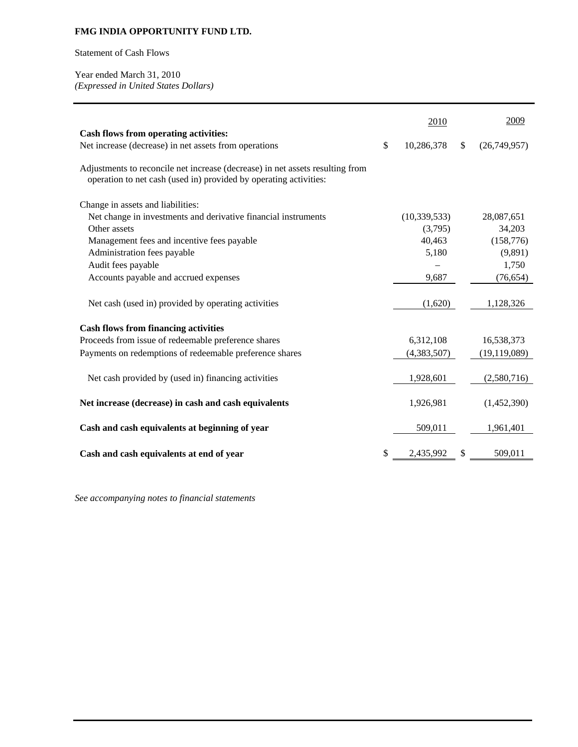Statement of Cash Flows

Year ended March 31, 2010 *(Expressed in United States Dollars)* 

|                                                                                                                                                    | 2010             |    | 2009           |
|----------------------------------------------------------------------------------------------------------------------------------------------------|------------------|----|----------------|
| <b>Cash flows from operating activities:</b>                                                                                                       |                  |    |                |
| Net increase (decrease) in net assets from operations                                                                                              | \$<br>10,286,378 | \$ | (26,749,957)   |
| Adjustments to reconcile net increase (decrease) in net assets resulting from<br>operation to net cash (used in) provided by operating activities: |                  |    |                |
| Change in assets and liabilities:                                                                                                                  |                  |    |                |
| Net change in investments and derivative financial instruments                                                                                     | (10, 339, 533)   |    | 28,087,651     |
| Other assets                                                                                                                                       | (3,795)          |    | 34,203         |
| Management fees and incentive fees payable                                                                                                         | 40,463           |    | (158, 776)     |
| Administration fees payable                                                                                                                        | 5,180            |    | (9,891)        |
| Audit fees payable                                                                                                                                 |                  |    | 1,750          |
| Accounts payable and accrued expenses                                                                                                              | 9,687            |    | (76, 654)      |
| Net cash (used in) provided by operating activities                                                                                                | (1,620)          |    | 1,128,326      |
| <b>Cash flows from financing activities</b>                                                                                                        |                  |    |                |
| Proceeds from issue of redeemable preference shares                                                                                                | 6,312,108        |    | 16,538,373     |
| Payments on redemptions of redeemable preference shares                                                                                            | (4,383,507)      |    | (19, 119, 089) |
| Net cash provided by (used in) financing activities                                                                                                | 1,928,601        |    | (2,580,716)    |
|                                                                                                                                                    |                  |    |                |
| Net increase (decrease) in cash and cash equivalents                                                                                               | 1,926,981        |    | (1,452,390)    |
| Cash and cash equivalents at beginning of year                                                                                                     | 509,011          |    | 1,961,401      |
| Cash and cash equivalents at end of year                                                                                                           | \$<br>2,435,992  | S  | 509,011        |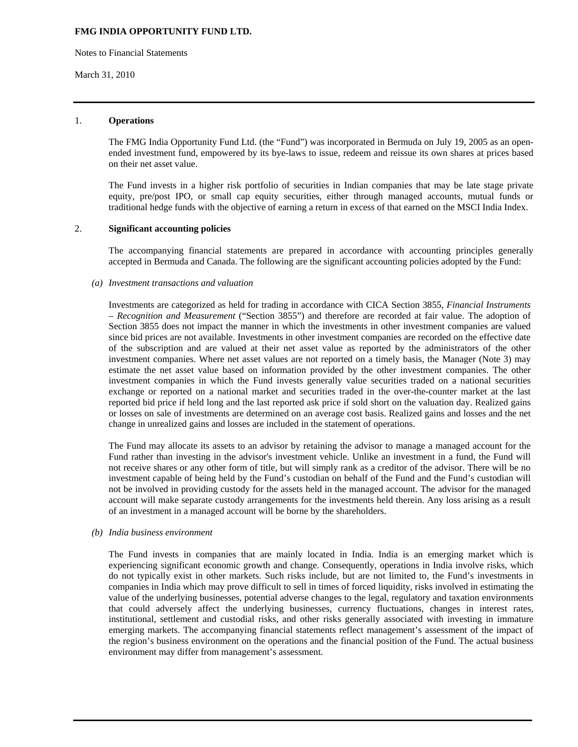Notes to Financial Statements

#### March 31, 2010

## 1. **Operations**

The FMG India Opportunity Fund Ltd. (the "Fund") was incorporated in Bermuda on July 19, 2005 as an openended investment fund, empowered by its bye-laws to issue, redeem and reissue its own shares at prices based on their net asset value.

The Fund invests in a higher risk portfolio of securities in Indian companies that may be late stage private equity, pre/post IPO, or small cap equity securities, either through managed accounts, mutual funds or traditional hedge funds with the objective of earning a return in excess of that earned on the MSCI India Index.

### 2. **Significant accounting policies**

The accompanying financial statements are prepared in accordance with accounting principles generally accepted in Bermuda and Canada. The following are the significant accounting policies adopted by the Fund:

#### *(a) Investment transactions and valuation*

Investments are categorized as held for trading in accordance with CICA Section 3855, *Financial Instruments – Recognition and Measurement* ("Section 3855") and therefore are recorded at fair value. The adoption of Section 3855 does not impact the manner in which the investments in other investment companies are valued since bid prices are not available. Investments in other investment companies are recorded on the effective date of the subscription and are valued at their net asset value as reported by the administrators of the other investment companies. Where net asset values are not reported on a timely basis, the Manager (Note 3) may estimate the net asset value based on information provided by the other investment companies. The other investment companies in which the Fund invests generally value securities traded on a national securities exchange or reported on a national market and securities traded in the over-the-counter market at the last reported bid price if held long and the last reported ask price if sold short on the valuation day. Realized gains or losses on sale of investments are determined on an average cost basis. Realized gains and losses and the net change in unrealized gains and losses are included in the statement of operations.

The Fund may allocate its assets to an advisor by retaining the advisor to manage a managed account for the Fund rather than investing in the advisor's investment vehicle. Unlike an investment in a fund, the Fund will not receive shares or any other form of title, but will simply rank as a creditor of the advisor. There will be no investment capable of being held by the Fund's custodian on behalf of the Fund and the Fund's custodian will not be involved in providing custody for the assets held in the managed account. The advisor for the managed account will make separate custody arrangements for the investments held therein. Any loss arising as a result of an investment in a managed account will be borne by the shareholders.

#### *(b) India business environment*

The Fund invests in companies that are mainly located in India. India is an emerging market which is experiencing significant economic growth and change. Consequently, operations in India involve risks, which do not typically exist in other markets. Such risks include, but are not limited to, the Fund's investments in companies in India which may prove difficult to sell in times of forced liquidity, risks involved in estimating the value of the underlying businesses, potential adverse changes to the legal, regulatory and taxation environments that could adversely affect the underlying businesses, currency fluctuations, changes in interest rates, institutional, settlement and custodial risks, and other risks generally associated with investing in immature emerging markets. The accompanying financial statements reflect management's assessment of the impact of the region's business environment on the operations and the financial position of the Fund. The actual business environment may differ from management's assessment.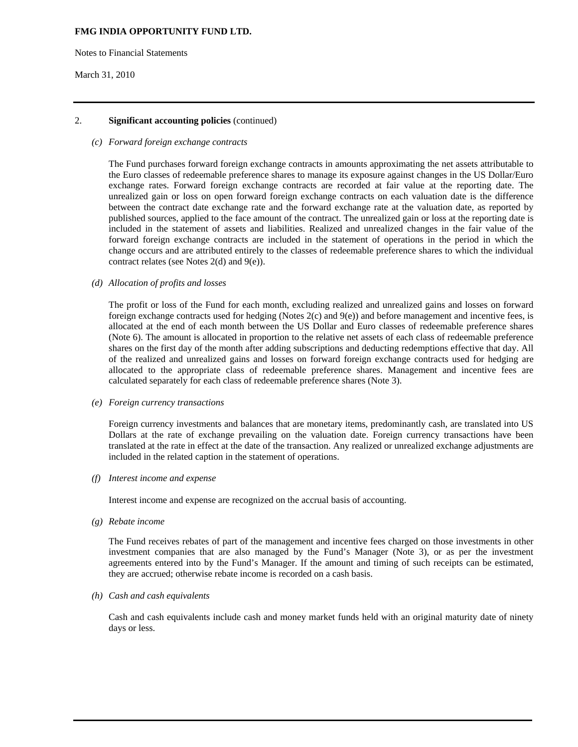Notes to Financial Statements

#### March 31, 2010

### 2. **Significant accounting policies** (continued)

#### *(c) Forward foreign exchange contracts*

The Fund purchases forward foreign exchange contracts in amounts approximating the net assets attributable to the Euro classes of redeemable preference shares to manage its exposure against changes in the US Dollar/Euro exchange rates. Forward foreign exchange contracts are recorded at fair value at the reporting date. The unrealized gain or loss on open forward foreign exchange contracts on each valuation date is the difference between the contract date exchange rate and the forward exchange rate at the valuation date, as reported by published sources, applied to the face amount of the contract. The unrealized gain or loss at the reporting date is included in the statement of assets and liabilities. Realized and unrealized changes in the fair value of the forward foreign exchange contracts are included in the statement of operations in the period in which the change occurs and are attributed entirely to the classes of redeemable preference shares to which the individual contract relates (see Notes 2(d) and 9(e)).

#### *(d) Allocation of profits and losses*

The profit or loss of the Fund for each month, excluding realized and unrealized gains and losses on forward foreign exchange contracts used for hedging (Notes 2(c) and 9(e)) and before management and incentive fees, is allocated at the end of each month between the US Dollar and Euro classes of redeemable preference shares (Note 6). The amount is allocated in proportion to the relative net assets of each class of redeemable preference shares on the first day of the month after adding subscriptions and deducting redemptions effective that day. All of the realized and unrealized gains and losses on forward foreign exchange contracts used for hedging are allocated to the appropriate class of redeemable preference shares. Management and incentive fees are calculated separately for each class of redeemable preference shares (Note 3).

#### *(e) Foreign currency transactions*

Foreign currency investments and balances that are monetary items, predominantly cash, are translated into US Dollars at the rate of exchange prevailing on the valuation date. Foreign currency transactions have been translated at the rate in effect at the date of the transaction. Any realized or unrealized exchange adjustments are included in the related caption in the statement of operations.

#### *(f) Interest income and expense*

Interest income and expense are recognized on the accrual basis of accounting.

*(g) Rebate income* 

 The Fund receives rebates of part of the management and incentive fees charged on those investments in other investment companies that are also managed by the Fund's Manager (Note 3), or as per the investment agreements entered into by the Fund's Manager. If the amount and timing of such receipts can be estimated, they are accrued; otherwise rebate income is recorded on a cash basis.

#### *(h) Cash and cash equivalents*

Cash and cash equivalents include cash and money market funds held with an original maturity date of ninety days or less.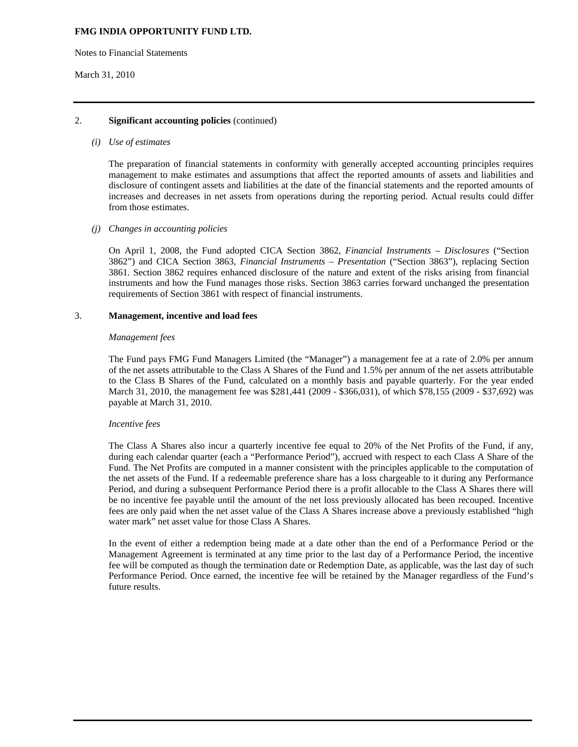Notes to Financial Statements

#### March 31, 2010

## 2. **Significant accounting policies** (continued)

#### *(i) Use of estimates*

The preparation of financial statements in conformity with generally accepted accounting principles requires management to make estimates and assumptions that affect the reported amounts of assets and liabilities and disclosure of contingent assets and liabilities at the date of the financial statements and the reported amounts of increases and decreases in net assets from operations during the reporting period. Actual results could differ from those estimates.

#### *(j) Changes in accounting policies*

On April 1, 2008, the Fund adopted CICA Section 3862, *Financial Instruments – Disclosures* ("Section 3862") and CICA Section 3863, *Financial Instruments – Presentation* ("Section 3863"), replacing Section 3861. Section 3862 requires enhanced disclosure of the nature and extent of the risks arising from financial instruments and how the Fund manages those risks. Section 3863 carries forward unchanged the presentation requirements of Section 3861 with respect of financial instruments.

#### 3. **Management, incentive and load fees**

#### *Management fees*

The Fund pays FMG Fund Managers Limited (the "Manager") a management fee at a rate of 2.0% per annum of the net assets attributable to the Class A Shares of the Fund and 1.5% per annum of the net assets attributable to the Class B Shares of the Fund, calculated on a monthly basis and payable quarterly. For the year ended March 31, 2010, the management fee was \$281,441 (2009 - \$366,031), of which \$78,155 (2009 - \$37,692) was payable at March 31, 2010.

#### *Incentive fees*

The Class A Shares also incur a quarterly incentive fee equal to 20% of the Net Profits of the Fund, if any, during each calendar quarter (each a "Performance Period"), accrued with respect to each Class A Share of the Fund. The Net Profits are computed in a manner consistent with the principles applicable to the computation of the net assets of the Fund. If a redeemable preference share has a loss chargeable to it during any Performance Period, and during a subsequent Performance Period there is a profit allocable to the Class A Shares there will be no incentive fee payable until the amount of the net loss previously allocated has been recouped. Incentive fees are only paid when the net asset value of the Class A Shares increase above a previously established "high water mark" net asset value for those Class A Shares.

In the event of either a redemption being made at a date other than the end of a Performance Period or the Management Agreement is terminated at any time prior to the last day of a Performance Period, the incentive fee will be computed as though the termination date or Redemption Date, as applicable, was the last day of such Performance Period. Once earned, the incentive fee will be retained by the Manager regardless of the Fund's future results.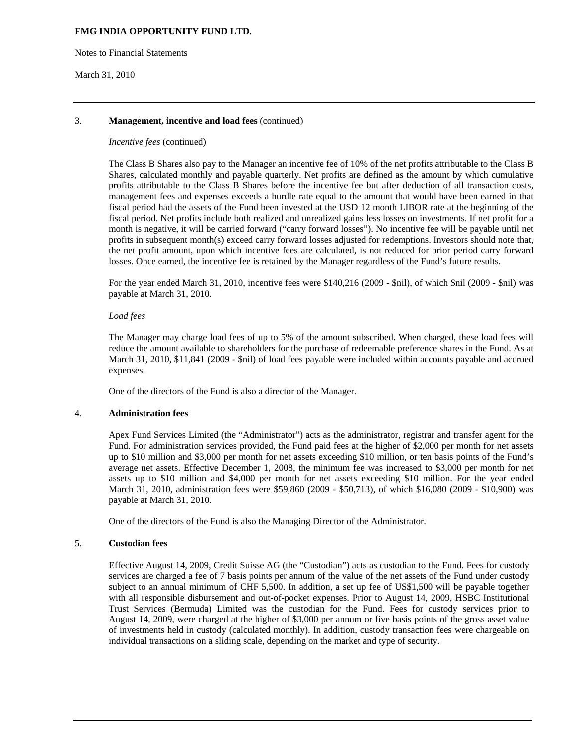Notes to Financial Statements

### March 31, 2010

# 3. **Management, incentive and load fees** (continued)

## *Incentive fees* (continued)

The Class B Shares also pay to the Manager an incentive fee of 10% of the net profits attributable to the Class B Shares, calculated monthly and payable quarterly. Net profits are defined as the amount by which cumulative profits attributable to the Class B Shares before the incentive fee but after deduction of all transaction costs, management fees and expenses exceeds a hurdle rate equal to the amount that would have been earned in that fiscal period had the assets of the Fund been invested at the USD 12 month LIBOR rate at the beginning of the fiscal period. Net profits include both realized and unrealized gains less losses on investments. If net profit for a month is negative, it will be carried forward ("carry forward losses"). No incentive fee will be payable until net profits in subsequent month(s) exceed carry forward losses adjusted for redemptions. Investors should note that, the net profit amount, upon which incentive fees are calculated, is not reduced for prior period carry forward losses. Once earned, the incentive fee is retained by the Manager regardless of the Fund's future results.

For the year ended March 31, 2010, incentive fees were \$140,216 (2009 - \$nil), of which \$nil (2009 - \$nil) was payable at March 31, 2010.

## *Load fees*

The Manager may charge load fees of up to 5% of the amount subscribed. When charged, these load fees will reduce the amount available to shareholders for the purchase of redeemable preference shares in the Fund. As at March 31, 2010, \$11,841 (2009 - \$nil) of load fees payable were included within accounts payable and accrued expenses.

One of the directors of the Fund is also a director of the Manager.

# 4. **Administration fees**

Apex Fund Services Limited (the "Administrator") acts as the administrator, registrar and transfer agent for the Fund. For administration services provided, the Fund paid fees at the higher of \$2,000 per month for net assets up to \$10 million and \$3,000 per month for net assets exceeding \$10 million, or ten basis points of the Fund's average net assets. Effective December 1, 2008, the minimum fee was increased to \$3,000 per month for net assets up to \$10 million and \$4,000 per month for net assets exceeding \$10 million. For the year ended March 31, 2010, administration fees were \$59,860 (2009 - \$50,713), of which \$16,080 (2009 - \$10,900) was payable at March 31, 2010.

One of the directors of the Fund is also the Managing Director of the Administrator.

# 5. **Custodian fees**

Effective August 14, 2009, Credit Suisse AG (the "Custodian") acts as custodian to the Fund. Fees for custody services are charged a fee of 7 basis points per annum of the value of the net assets of the Fund under custody subject to an annual minimum of CHF 5,500. In addition, a set up fee of US\$1,500 will be payable together with all responsible disbursement and out-of-pocket expenses. Prior to August 14, 2009, HSBC Institutional Trust Services (Bermuda) Limited was the custodian for the Fund. Fees for custody services prior to August 14, 2009, were charged at the higher of \$3,000 per annum or five basis points of the gross asset value of investments held in custody (calculated monthly). In addition, custody transaction fees were chargeable on individual transactions on a sliding scale, depending on the market and type of security.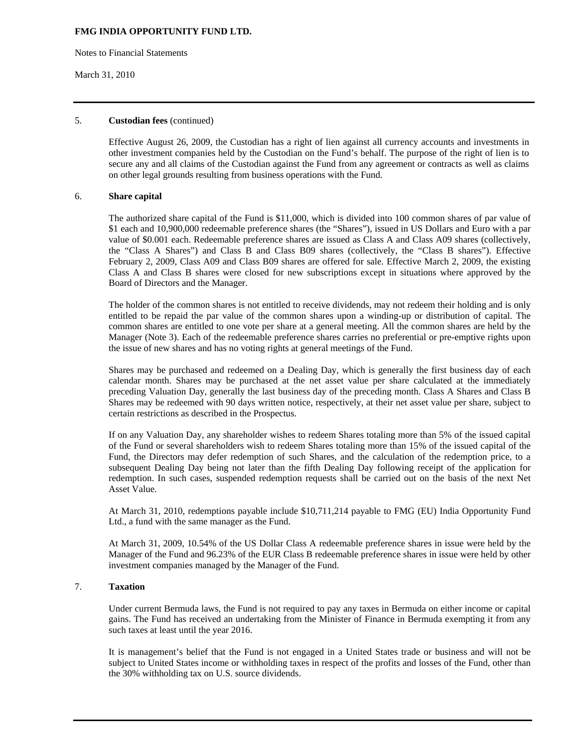Notes to Financial Statements

## March 31, 2010

### 5. **Custodian fees** (continued)

Effective August 26, 2009, the Custodian has a right of lien against all currency accounts and investments in other investment companies held by the Custodian on the Fund's behalf. The purpose of the right of lien is to secure any and all claims of the Custodian against the Fund from any agreement or contracts as well as claims on other legal grounds resulting from business operations with the Fund.

#### 6. **Share capital**

The authorized share capital of the Fund is \$11,000, which is divided into 100 common shares of par value of \$1 each and 10,900,000 redeemable preference shares (the "Shares"), issued in US Dollars and Euro with a par value of \$0.001 each. Redeemable preference shares are issued as Class A and Class A09 shares (collectively, the "Class A Shares") and Class B and Class B09 shares (collectively, the "Class B shares"). Effective February 2, 2009, Class A09 and Class B09 shares are offered for sale. Effective March 2, 2009, the existing Class A and Class B shares were closed for new subscriptions except in situations where approved by the Board of Directors and the Manager.

The holder of the common shares is not entitled to receive dividends, may not redeem their holding and is only entitled to be repaid the par value of the common shares upon a winding-up or distribution of capital. The common shares are entitled to one vote per share at a general meeting. All the common shares are held by the Manager (Note 3). Each of the redeemable preference shares carries no preferential or pre-emptive rights upon the issue of new shares and has no voting rights at general meetings of the Fund.

Shares may be purchased and redeemed on a Dealing Day, which is generally the first business day of each calendar month. Shares may be purchased at the net asset value per share calculated at the immediately preceding Valuation Day, generally the last business day of the preceding month. Class A Shares and Class B Shares may be redeemed with 90 days written notice, respectively, at their net asset value per share, subject to certain restrictions as described in the Prospectus.

If on any Valuation Day, any shareholder wishes to redeem Shares totaling more than 5% of the issued capital of the Fund or several shareholders wish to redeem Shares totaling more than 15% of the issued capital of the Fund, the Directors may defer redemption of such Shares, and the calculation of the redemption price, to a subsequent Dealing Day being not later than the fifth Dealing Day following receipt of the application for redemption. In such cases, suspended redemption requests shall be carried out on the basis of the next Net Asset Value.

At March 31, 2010, redemptions payable include \$10,711,214 payable to FMG (EU) India Opportunity Fund Ltd., a fund with the same manager as the Fund.

At March 31, 2009, 10.54% of the US Dollar Class A redeemable preference shares in issue were held by the Manager of the Fund and 96.23% of the EUR Class B redeemable preference shares in issue were held by other investment companies managed by the Manager of the Fund.

## 7. **Taxation**

 Under current Bermuda laws, the Fund is not required to pay any taxes in Bermuda on either income or capital gains. The Fund has received an undertaking from the Minister of Finance in Bermuda exempting it from any such taxes at least until the year 2016.

 It is management's belief that the Fund is not engaged in a United States trade or business and will not be subject to United States income or withholding taxes in respect of the profits and losses of the Fund, other than the 30% withholding tax on U.S. source dividends.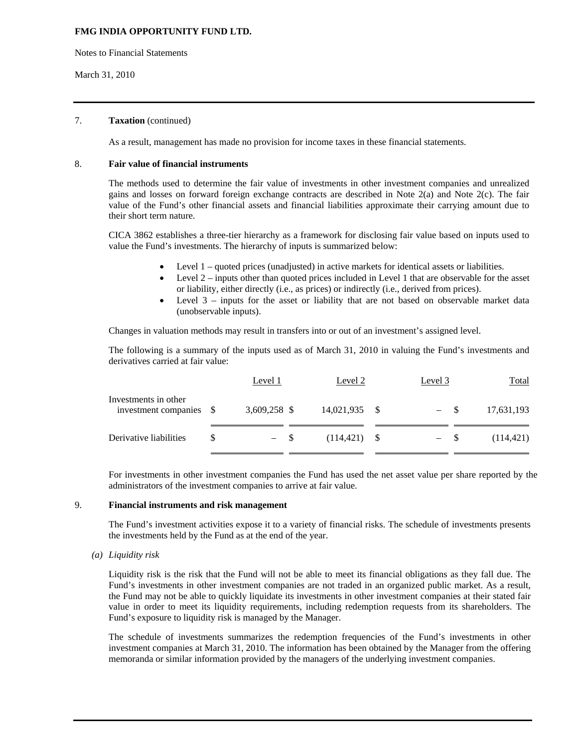Notes to Financial Statements

March 31, 2010

## 7. **Taxation** (continued)

As a result, management has made no provision for income taxes in these financial statements.

## 8. **Fair value of financial instruments**

 The methods used to determine the fair value of investments in other investment companies and unrealized gains and losses on forward foreign exchange contracts are described in Note 2(a) and Note 2(c). The fair value of the Fund's other financial assets and financial liabilities approximate their carrying amount due to their short term nature.

 CICA 3862 establishes a three-tier hierarchy as a framework for disclosing fair value based on inputs used to value the Fund's investments. The hierarchy of inputs is summarized below:

- Level 1 quoted prices (unadjusted) in active markets for identical assets or liabilities.
- Level 2 inputs other than quoted prices included in Level 1 that are observable for the asset or liability, either directly (i.e., as prices) or indirectly (i.e., derived from prices).
- Level 3 inputs for the asset or liability that are not based on observable market data (unobservable inputs).

Changes in valuation methods may result in transfers into or out of an investment's assigned level.

The following is a summary of the inputs used as of March 31, 2010 in valuing the Fund's investments and derivatives carried at fair value:

|                                              |      | Level 1      |      | Level 2         | Level 3 |                          |      | <b>Total</b> |
|----------------------------------------------|------|--------------|------|-----------------|---------|--------------------------|------|--------------|
| Investments in other<br>investment companies | - \$ | 3,609,258 \$ |      | 14,021,935 \$   |         | $\overline{\phantom{m}}$ | - \$ | 17,631,193   |
| Derivative liabilities                       | S    |              | - \$ | $(114, 421)$ \$ |         | $- S$                    |      | (114, 421)   |

For investments in other investment companies the Fund has used the net asset value per share reported by the administrators of the investment companies to arrive at fair value.

## 9. **Financial instruments and risk management**

The Fund's investment activities expose it to a variety of financial risks. The schedule of investments presents the investments held by the Fund as at the end of the year.

*(a) Liquidity risk* 

Liquidity risk is the risk that the Fund will not be able to meet its financial obligations as they fall due. The Fund's investments in other investment companies are not traded in an organized public market. As a result, the Fund may not be able to quickly liquidate its investments in other investment companies at their stated fair value in order to meet its liquidity requirements, including redemption requests from its shareholders. The Fund's exposure to liquidity risk is managed by the Manager.

The schedule of investments summarizes the redemption frequencies of the Fund's investments in other investment companies at March 31, 2010. The information has been obtained by the Manager from the offering memoranda or similar information provided by the managers of the underlying investment companies.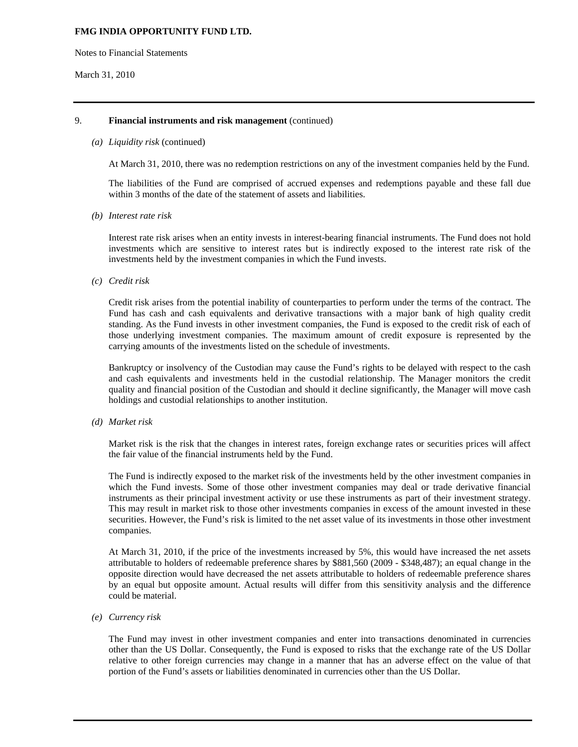Notes to Financial Statements

#### March 31, 2010

## 9. **Financial instruments and risk management** (continued)

#### *(a) Liquidity risk* (continued)

At March 31, 2010, there was no redemption restrictions on any of the investment companies held by the Fund.

The liabilities of the Fund are comprised of accrued expenses and redemptions payable and these fall due within 3 months of the date of the statement of assets and liabilities.

*(b) Interest rate risk* 

Interest rate risk arises when an entity invests in interest-bearing financial instruments. The Fund does not hold investments which are sensitive to interest rates but is indirectly exposed to the interest rate risk of the investments held by the investment companies in which the Fund invests.

*(c) Credit risk* 

Credit risk arises from the potential inability of counterparties to perform under the terms of the contract. The Fund has cash and cash equivalents and derivative transactions with a major bank of high quality credit standing. As the Fund invests in other investment companies, the Fund is exposed to the credit risk of each of those underlying investment companies. The maximum amount of credit exposure is represented by the carrying amounts of the investments listed on the schedule of investments.

Bankruptcy or insolvency of the Custodian may cause the Fund's rights to be delayed with respect to the cash and cash equivalents and investments held in the custodial relationship. The Manager monitors the credit quality and financial position of the Custodian and should it decline significantly, the Manager will move cash holdings and custodial relationships to another institution.

*(d) Market risk* 

Market risk is the risk that the changes in interest rates, foreign exchange rates or securities prices will affect the fair value of the financial instruments held by the Fund.

The Fund is indirectly exposed to the market risk of the investments held by the other investment companies in which the Fund invests. Some of those other investment companies may deal or trade derivative financial instruments as their principal investment activity or use these instruments as part of their investment strategy. This may result in market risk to those other investments companies in excess of the amount invested in these securities. However, the Fund's risk is limited to the net asset value of its investments in those other investment companies.

At March 31, 2010, if the price of the investments increased by 5%, this would have increased the net assets attributable to holders of redeemable preference shares by \$881,560 (2009 - \$348,487); an equal change in the opposite direction would have decreased the net assets attributable to holders of redeemable preference shares by an equal but opposite amount. Actual results will differ from this sensitivity analysis and the difference could be material.

*(e) Currency risk* 

The Fund may invest in other investment companies and enter into transactions denominated in currencies other than the US Dollar. Consequently, the Fund is exposed to risks that the exchange rate of the US Dollar relative to other foreign currencies may change in a manner that has an adverse effect on the value of that portion of the Fund's assets or liabilities denominated in currencies other than the US Dollar.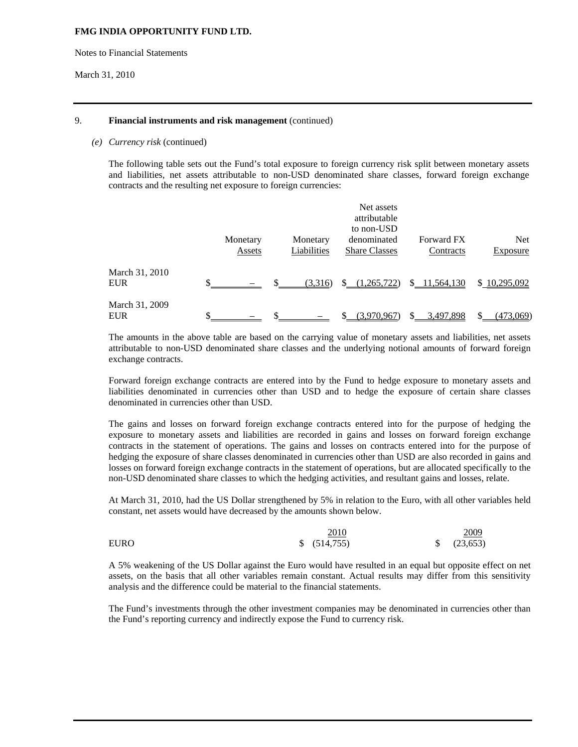Notes to Financial Statements

March 31, 2010

## 9. **Financial instruments and risk management** (continued)

#### *(e) Currency risk* (continued)

The following table sets out the Fund's total exposure to foreign currency risk split between monetary assets and liabilities, net assets attributable to non-USD denominated share classes, forward foreign exchange contracts and the resulting net exposure to foreign currencies:

|                              |          |             | Net assets<br>attributable   |                   |              |
|------------------------------|----------|-------------|------------------------------|-------------------|--------------|
|                              | Monetary | Monetary    | to non-USD<br>denominated    | <b>Forward FX</b> | <b>Net</b>   |
|                              | Assets   | Liabilities | <b>Share Classes</b>         | Contracts         | Exposure     |
| March 31, 2010<br><b>EUR</b> |          | (3,316)     | (1,265,722)<br><sup>\$</sup> | \$11,564,130      | \$10,295,092 |
| March 31, 2009<br><b>EUR</b> |          |             | (3.970.967)                  | 3,497,898         | (473,069)    |

The amounts in the above table are based on the carrying value of monetary assets and liabilities, net assets attributable to non-USD denominated share classes and the underlying notional amounts of forward foreign exchange contracts.

Forward foreign exchange contracts are entered into by the Fund to hedge exposure to monetary assets and liabilities denominated in currencies other than USD and to hedge the exposure of certain share classes denominated in currencies other than USD.

The gains and losses on forward foreign exchange contracts entered into for the purpose of hedging the exposure to monetary assets and liabilities are recorded in gains and losses on forward foreign exchange contracts in the statement of operations. The gains and losses on contracts entered into for the purpose of hedging the exposure of share classes denominated in currencies other than USD are also recorded in gains and losses on forward foreign exchange contracts in the statement of operations, but are allocated specifically to the non-USD denominated share classes to which the hedging activities, and resultant gains and losses, relate.

At March 31, 2010, had the US Dollar strengthened by 5% in relation to the Euro, with all other variables held constant, net assets would have decreased by the amounts shown below.

|             | 2010         | 2009           |
|-------------|--------------|----------------|
| <b>EURO</b> | \$ (514,755) | $\{(23,653)\}$ |

A 5% weakening of the US Dollar against the Euro would have resulted in an equal but opposite effect on net assets, on the basis that all other variables remain constant. Actual results may differ from this sensitivity analysis and the difference could be material to the financial statements.

The Fund's investments through the other investment companies may be denominated in currencies other than the Fund's reporting currency and indirectly expose the Fund to currency risk.